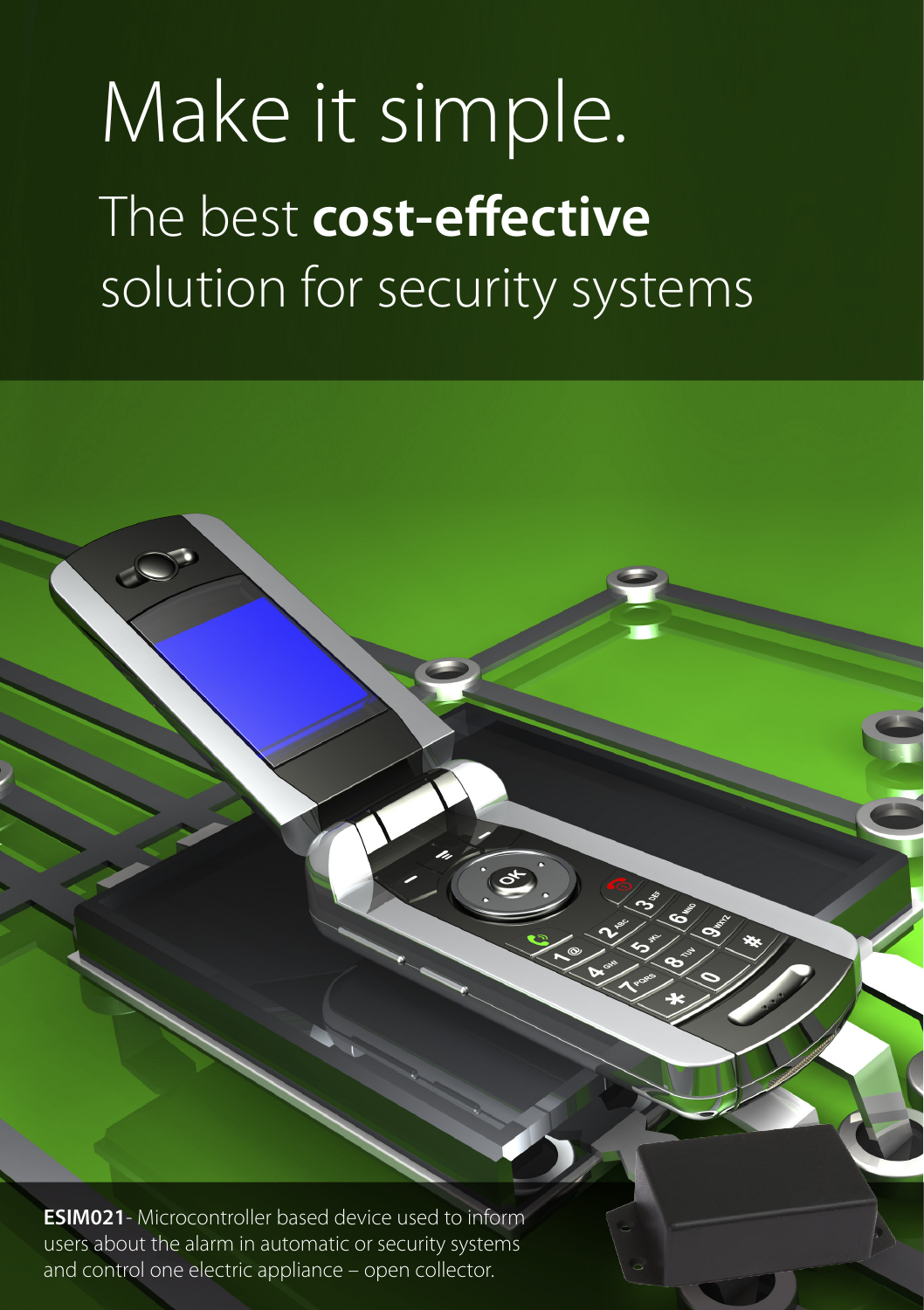## Make it simple. The best **cost-effective**  solution for security systems

**ESIM021**- Microcontroller based device used to inform users about the alarm in automatic or security systems and control one electric appliance – open collector.